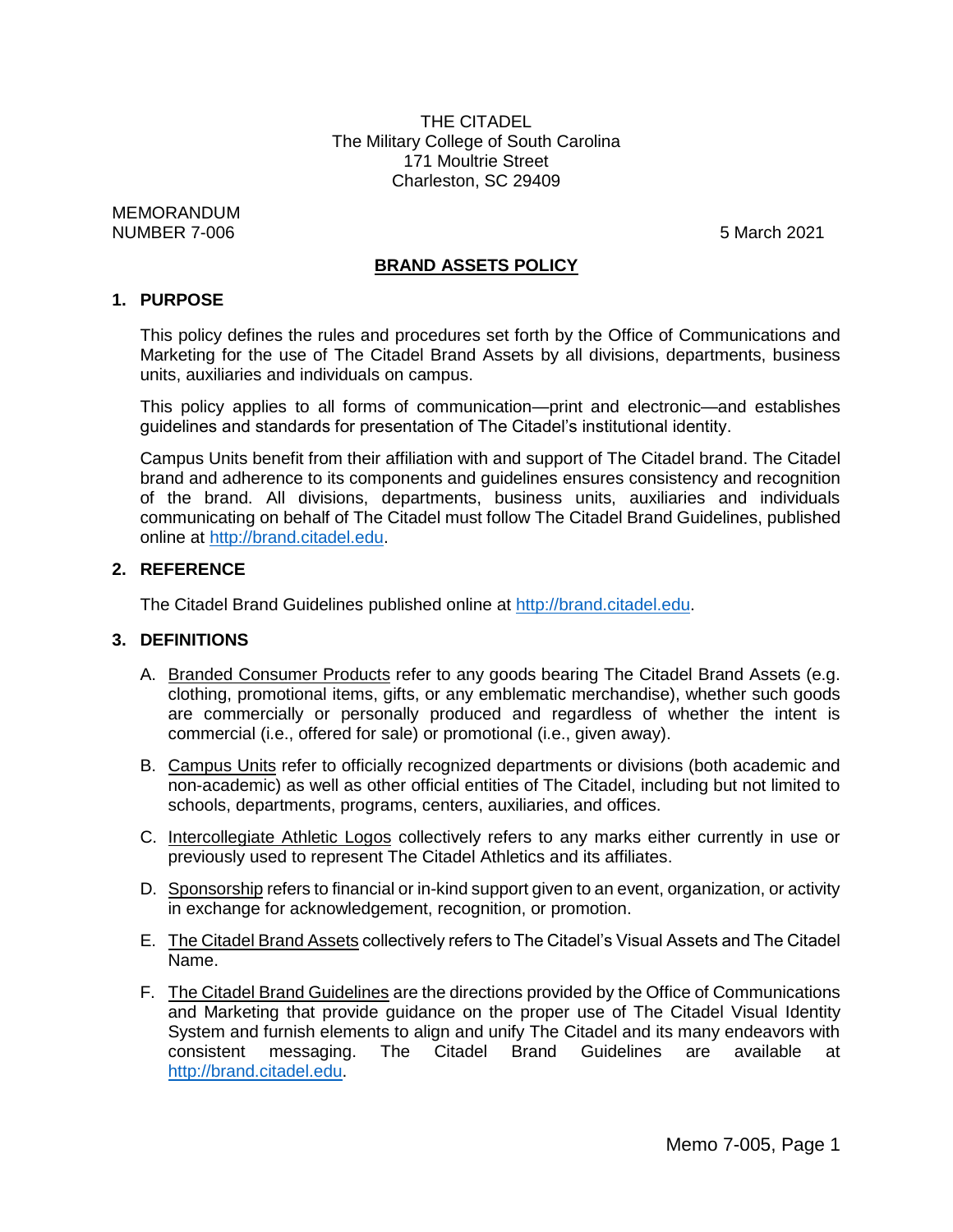MEMORANDUM NUMBER 7-006 5 March 2021

#### **BRAND ASSETS POLICY**

#### **1. PURPOSE**

This policy defines the rules and procedures set forth by the Office of Communications and Marketing for the use of The Citadel Brand Assets by all divisions, departments, business units, auxiliaries and individuals on campus.

This policy applies to all forms of communication—print and electronic—and establishes guidelines and standards for presentation of The Citadel's institutional identity.

Campus Units benefit from their affiliation with and support of The Citadel brand. The Citadel brand and adherence to its components and guidelines ensures consistency and recognition of the brand. All divisions, departments, business units, auxiliaries and individuals communicating on behalf of The Citadel must follow The Citadel Brand Guidelines, published online at [http://brand.citadel.edu.](http://brand.citadel.edu/)

#### **2. REFERENCE**

The Citadel Brand Guidelines published online at [http://brand.citadel.edu.](http://brand.citadel.edu/)

#### **3. DEFINITIONS**

- A. Branded Consumer Products refer to any goods bearing The Citadel Brand Assets (e.g. clothing, promotional items, gifts, or any emblematic merchandise), whether such goods are commercially or personally produced and regardless of whether the intent is commercial (i.e., offered for sale) or promotional (i.e., given away).
- B. Campus Units refer to officially recognized departments or divisions (both academic and non-academic) as well as other official entities of The Citadel, including but not limited to schools, departments, programs, centers, auxiliaries, and offices.
- C. Intercollegiate Athletic Logos collectively refers to any marks either currently in use or previously used to represent The Citadel Athletics and its affiliates.
- D. Sponsorship refers to financial or in-kind support given to an event, organization, or activity in exchange for acknowledgement, recognition, or promotion.
- E. The Citadel Brand Assets collectively refers to The Citadel's Visual Assets and The Citadel Name.
- F. The Citadel Brand Guidelines are the directions provided by the Office of Communications and Marketing that provide guidance on the proper use of The Citadel Visual Identity System and furnish elements to align and unify The Citadel and its many endeavors with consistent messaging. The Citadel Brand Guidelines are available at [http://brand.citadel.edu.](http://brand.citadel.edu/)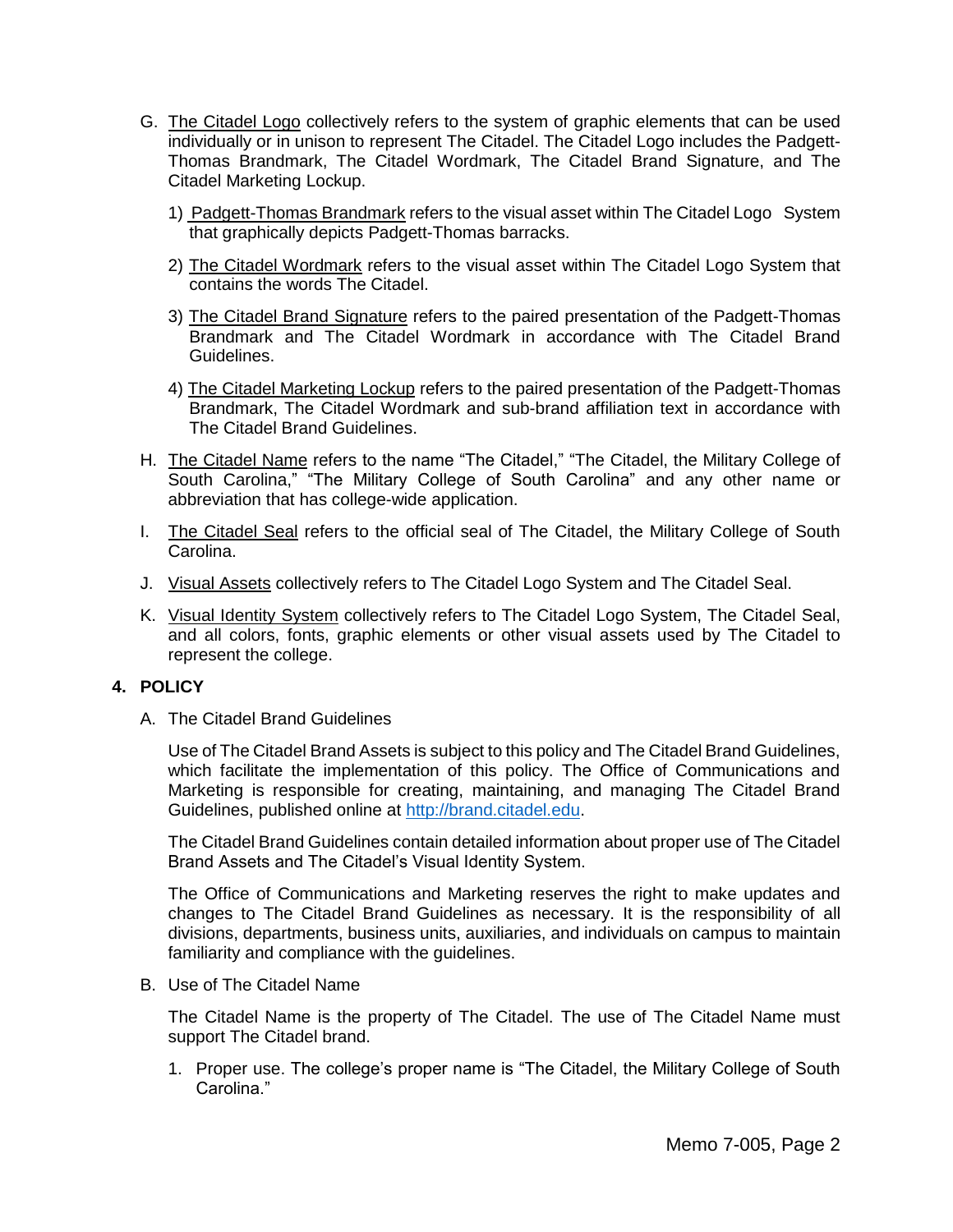- G. The Citadel Logo collectively refers to the system of graphic elements that can be used individually or in unison to represent The Citadel. The Citadel Logo includes the Padgett-Thomas Brandmark, The Citadel Wordmark, The Citadel Brand Signature, and The Citadel Marketing Lockup.
	- 1) Padgett-Thomas Brandmark refers to the visual asset within The Citadel Logo System that graphically depicts Padgett-Thomas barracks.
	- 2) The Citadel Wordmark refers to the visual asset within The Citadel Logo System that contains the words The Citadel.
	- 3) The Citadel Brand Signature refers to the paired presentation of the Padgett-Thomas Brandmark and The Citadel Wordmark in accordance with The Citadel Brand Guidelines.
	- 4) The Citadel Marketing Lockup refers to the paired presentation of the Padgett-Thomas Brandmark, The Citadel Wordmark and sub-brand affiliation text in accordance with The Citadel Brand Guidelines.
- H. The Citadel Name refers to the name "The Citadel," "The Citadel, the Military College of South Carolina," "The Military College of South Carolina" and any other name or abbreviation that has college-wide application.
- I. The Citadel Seal refers to the official seal of The Citadel, the Military College of South Carolina.
- J. Visual Assets collectively refers to The Citadel Logo System and The Citadel Seal.
- K. Visual Identity System collectively refers to The Citadel Logo System, The Citadel Seal, and all colors, fonts, graphic elements or other visual assets used by The Citadel to represent the college.

### **4. POLICY**

A. The Citadel Brand Guidelines

Use of The Citadel Brand Assets is subject to this policy and The Citadel Brand Guidelines, which facilitate the implementation of this policy. The Office of Communications and Marketing is responsible for creating, maintaining, and managing The Citadel Brand Guidelines, published online at [http://brand.citadel.edu.](http://brand.citadel.edu/)

The Citadel Brand Guidelines contain detailed information about proper use of The Citadel Brand Assets and The Citadel's Visual Identity System.

The Office of Communications and Marketing reserves the right to make updates and changes to The Citadel Brand Guidelines as necessary. It is the responsibility of all divisions, departments, business units, auxiliaries, and individuals on campus to maintain familiarity and compliance with the guidelines.

B. Use of The Citadel Name

The Citadel Name is the property of The Citadel. The use of The Citadel Name must support The Citadel brand.

1. Proper use. The college's proper name is "The Citadel, the Military College of South Carolina."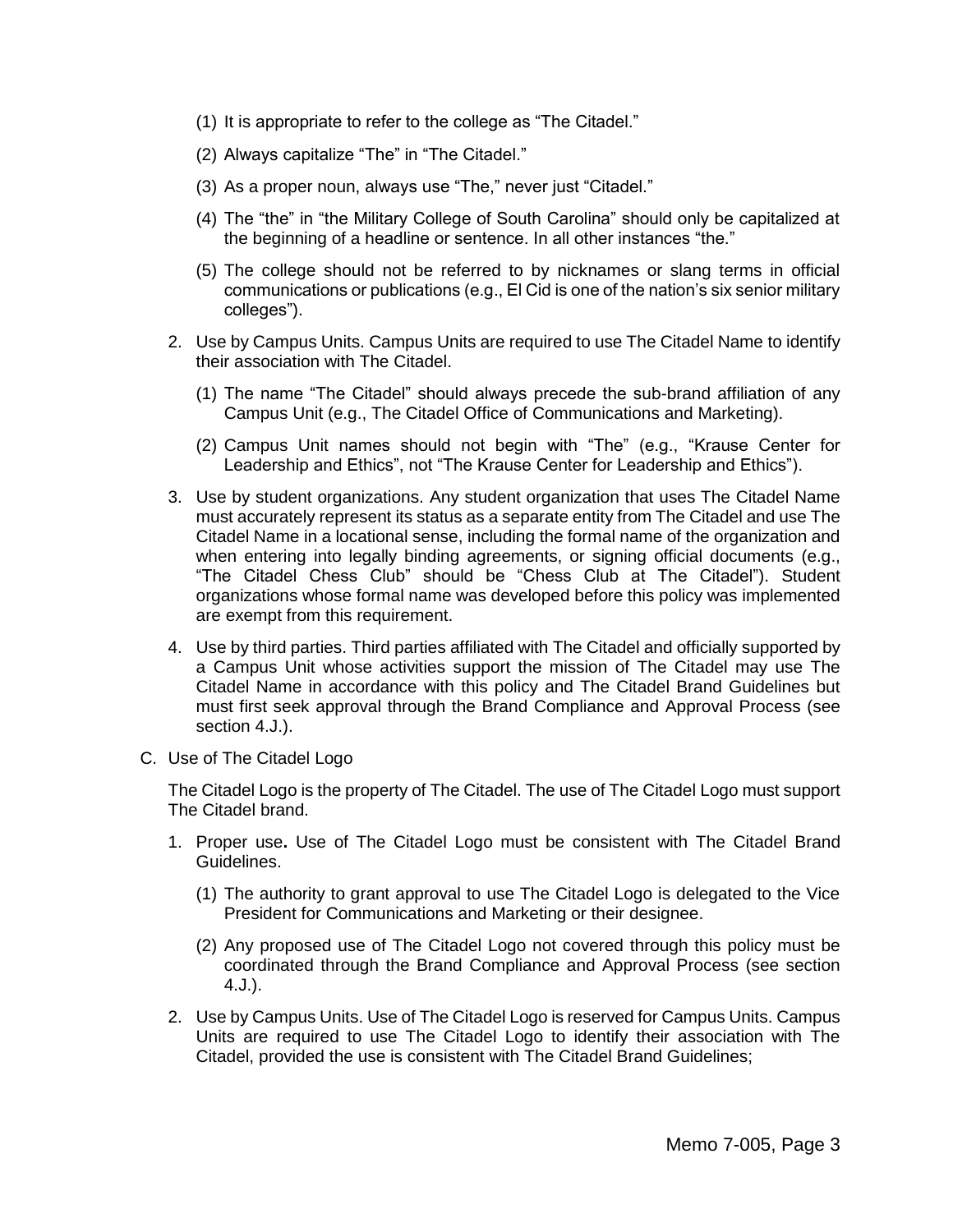- (1) It is appropriate to refer to the college as "The Citadel."
- (2) Always capitalize "The" in "The Citadel."
- (3) As a proper noun, always use "The," never just "Citadel."
- (4) The "the" in "the Military College of South Carolina" should only be capitalized at the beginning of a headline or sentence. In all other instances "the."
- (5) The college should not be referred to by nicknames or slang terms in official communications or publications (e.g., El Cid is one of the nation's six senior military colleges").
- 2. Use by Campus Units. Campus Units are required to use The Citadel Name to identify their association with The Citadel.
	- (1) The name "The Citadel" should always precede the sub-brand affiliation of any Campus Unit (e.g., The Citadel Office of Communications and Marketing).
	- (2) Campus Unit names should not begin with "The" (e.g., "Krause Center for Leadership and Ethics", not "The Krause Center for Leadership and Ethics").
- 3. Use by student organizations. Any student organization that uses The Citadel Name must accurately represent its status as a separate entity from The Citadel and use The Citadel Name in a locational sense, including the formal name of the organization and when entering into legally binding agreements, or signing official documents (e.g., "The Citadel Chess Club" should be "Chess Club at The Citadel"). Student organizations whose formal name was developed before this policy was implemented are exempt from this requirement.
- 4. Use by third parties. Third parties affiliated with The Citadel and officially supported by a Campus Unit whose activities support the mission of The Citadel may use The Citadel Name in accordance with this policy and The Citadel Brand Guidelines but must first seek approval through the Brand Compliance and Approval Process (see section 4.J.).
- C. Use of The Citadel Logo

The Citadel Logo is the property of The Citadel. The use of The Citadel Logo must support The Citadel brand.

- 1. Proper use**.** Use of The Citadel Logo must be consistent with The Citadel Brand Guidelines.
	- (1) The authority to grant approval to use The Citadel Logo is delegated to the Vice President for Communications and Marketing or their designee.
	- (2) Any proposed use of The Citadel Logo not covered through this policy must be coordinated through the Brand Compliance and Approval Process (see section 4.J.).
- 2. Use by Campus Units. Use of The Citadel Logo is reserved for Campus Units. Campus Units are required to use The Citadel Logo to identify their association with The Citadel, provided the use is consistent with The Citadel Brand Guidelines;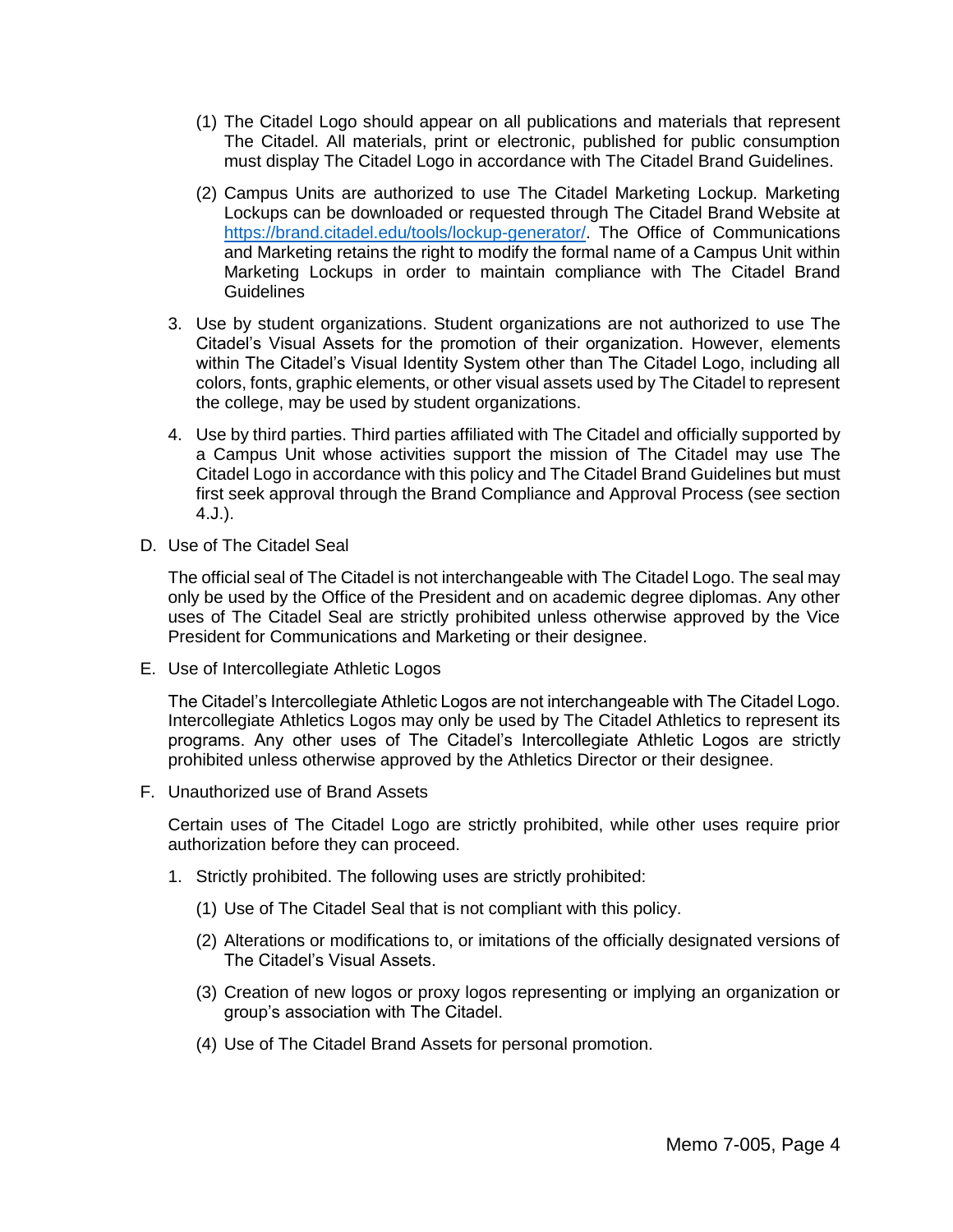- (1) The Citadel Logo should appear on all publications and materials that represent The Citadel. All materials, print or electronic, published for public consumption must display The Citadel Logo in accordance with The Citadel Brand Guidelines.
- (2) Campus Units are authorized to use The Citadel Marketing Lockup. Marketing Lockups can be downloaded or requested through The Citadel Brand Website at [https://brand.citadel.edu/tools/lockup-generator/.](https://brand.citadel.edu/tools/lockup-generator/) The Office of Communications and Marketing retains the right to modify the formal name of a Campus Unit within Marketing Lockups in order to maintain compliance with The Citadel Brand **Guidelines**
- 3. Use by student organizations. Student organizations are not authorized to use The Citadel's Visual Assets for the promotion of their organization. However, elements within The Citadel's Visual Identity System other than The Citadel Logo, including all colors, fonts, graphic elements, or other visual assets used by The Citadel to represent the college, may be used by student organizations.
- 4. Use by third parties. Third parties affiliated with The Citadel and officially supported by a Campus Unit whose activities support the mission of The Citadel may use The Citadel Logo in accordance with this policy and The Citadel Brand Guidelines but must first seek approval through the Brand Compliance and Approval Process (see section 4.J.).
- D. Use of The Citadel Seal

The official seal of The Citadel is not interchangeable with The Citadel Logo. The seal may only be used by the Office of the President and on academic degree diplomas. Any other uses of The Citadel Seal are strictly prohibited unless otherwise approved by the Vice President for Communications and Marketing or their designee.

E. Use of Intercollegiate Athletic Logos

The Citadel's Intercollegiate Athletic Logos are not interchangeable with The Citadel Logo. Intercollegiate Athletics Logos may only be used by The Citadel Athletics to represent its programs. Any other uses of The Citadel's Intercollegiate Athletic Logos are strictly prohibited unless otherwise approved by the Athletics Director or their designee.

F. Unauthorized use of Brand Assets

Certain uses of The Citadel Logo are strictly prohibited, while other uses require prior authorization before they can proceed.

- 1. Strictly prohibited. The following uses are strictly prohibited:
	- (1) Use of The Citadel Seal that is not compliant with this policy.
	- (2) Alterations or modifications to, or imitations of the officially designated versions of The Citadel's Visual Assets.
	- (3) Creation of new logos or proxy logos representing or implying an organization or group's association with The Citadel.
	- (4) Use of The Citadel Brand Assets for personal promotion.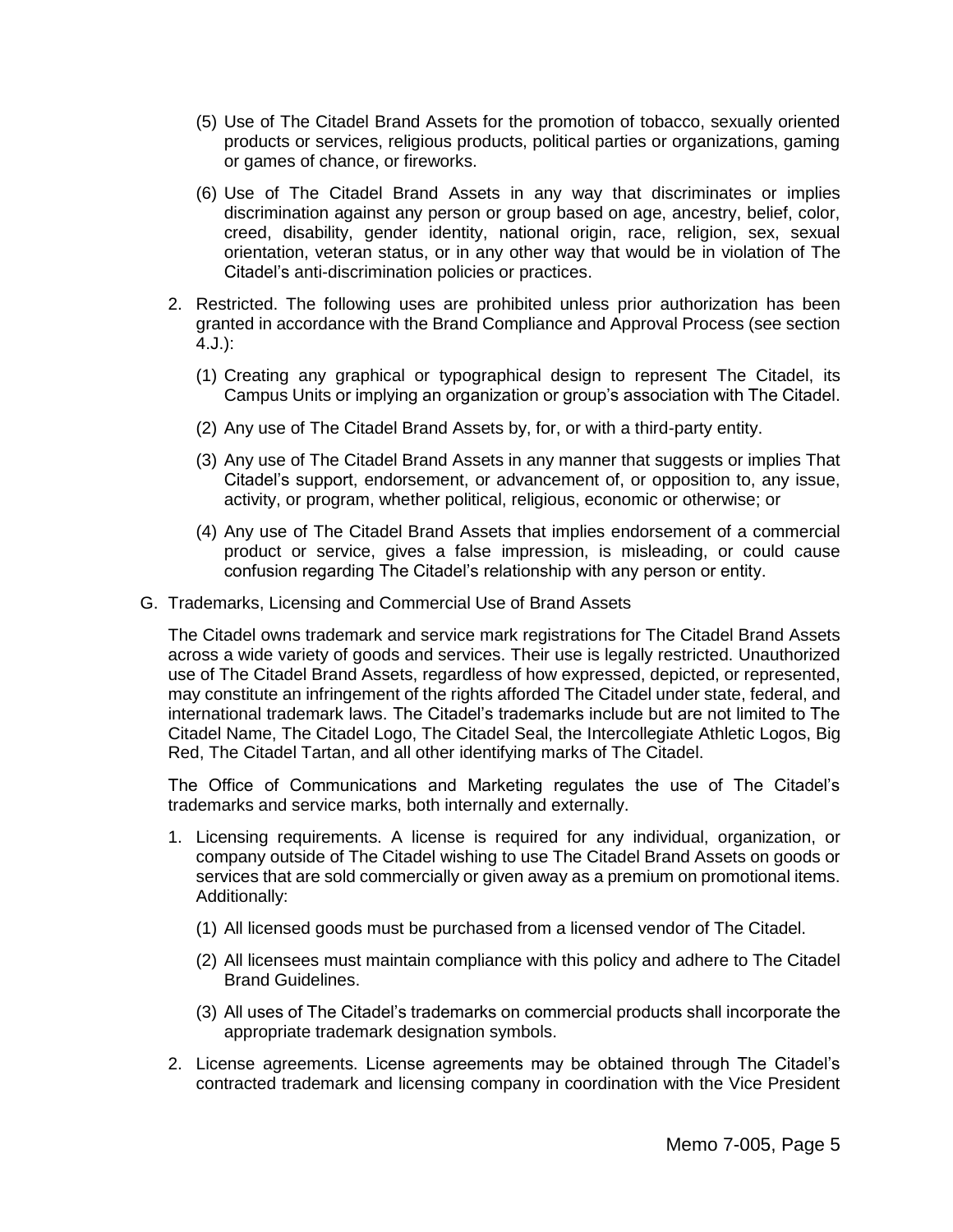- (5) Use of The Citadel Brand Assets for the promotion of tobacco, sexually oriented products or services, religious products, political parties or organizations, gaming or games of chance, or fireworks.
- (6) Use of The Citadel Brand Assets in any way that discriminates or implies discrimination against any person or group based on age, ancestry, belief, color, creed, disability, gender identity, national origin, race, religion, sex, sexual orientation, veteran status, or in any other way that would be in violation of The Citadel's anti-discrimination policies or practices.
- 2. Restricted. The following uses are prohibited unless prior authorization has been granted in accordance with the Brand Compliance and Approval Process (see section 4.J.):
	- (1) Creating any graphical or typographical design to represent The Citadel, its Campus Units or implying an organization or group's association with The Citadel.
	- (2) Any use of The Citadel Brand Assets by, for, or with a third-party entity.
	- (3) Any use of The Citadel Brand Assets in any manner that suggests or implies That Citadel's support, endorsement, or advancement of, or opposition to, any issue, activity, or program, whether political, religious, economic or otherwise; or
	- (4) Any use of The Citadel Brand Assets that implies endorsement of a commercial product or service, gives a false impression, is misleading, or could cause confusion regarding The Citadel's relationship with any person or entity.
- G. Trademarks, Licensing and Commercial Use of Brand Assets

The Citadel owns trademark and service mark registrations for The Citadel Brand Assets across a wide variety of goods and services. Their use is legally restricted. Unauthorized use of The Citadel Brand Assets, regardless of how expressed, depicted, or represented, may constitute an infringement of the rights afforded The Citadel under state, federal, and international trademark laws. The Citadel's trademarks include but are not limited to The Citadel Name, The Citadel Logo, The Citadel Seal, the Intercollegiate Athletic Logos, Big Red, The Citadel Tartan, and all other identifying marks of The Citadel.

The Office of Communications and Marketing regulates the use of The Citadel's trademarks and service marks, both internally and externally.

- 1. Licensing requirements. A license is required for any individual, organization, or company outside of The Citadel wishing to use The Citadel Brand Assets on goods or services that are sold commercially or given away as a premium on promotional items. Additionally:
	- (1) All licensed goods must be purchased from a licensed vendor of The Citadel.
	- (2) All licensees must maintain compliance with this policy and adhere to The Citadel Brand Guidelines.
	- (3) All uses of The Citadel's trademarks on commercial products shall incorporate the appropriate trademark designation symbols.
- 2. License agreements. License agreements may be obtained through The Citadel's contracted trademark and licensing company in coordination with the Vice President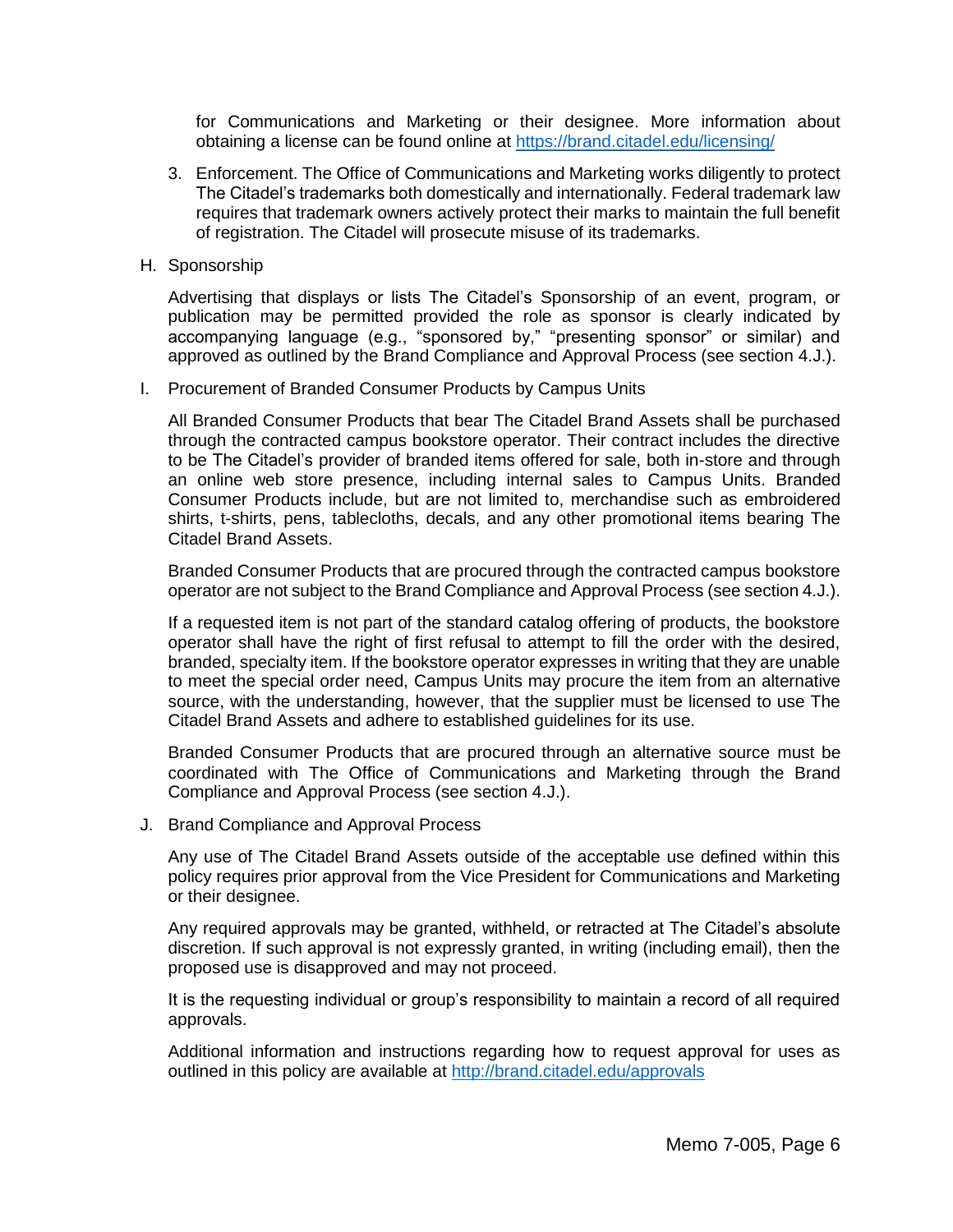for Communications and Marketing or their designee. More information about obtaining a license can be found online at<https://brand.citadel.edu/licensing/>

- 3. Enforcement. The Office of Communications and Marketing works diligently to protect The Citadel's trademarks both domestically and internationally. Federal trademark law requires that trademark owners actively protect their marks to maintain the full benefit of registration. The Citadel will prosecute misuse of its trademarks.
- H. Sponsorship

Advertising that displays or lists The Citadel's Sponsorship of an event, program, or publication may be permitted provided the role as sponsor is clearly indicated by accompanying language (e.g., "sponsored by," "presenting sponsor" or similar) and approved as outlined by the Brand Compliance and Approval Process (see section 4.J.).

I. Procurement of Branded Consumer Products by Campus Units

All Branded Consumer Products that bear The Citadel Brand Assets shall be purchased through the contracted campus bookstore operator. Their contract includes the directive to be The Citadel's provider of branded items offered for sale, both in-store and through an online web store presence, including internal sales to Campus Units. Branded Consumer Products include, but are not limited to, merchandise such as embroidered shirts, t-shirts, pens, tablecloths, decals, and any other promotional items bearing The Citadel Brand Assets.

Branded Consumer Products that are procured through the contracted campus bookstore operator are not subject to the Brand Compliance and Approval Process (see section 4.J.).

If a requested item is not part of the standard catalog offering of products, the bookstore operator shall have the right of first refusal to attempt to fill the order with the desired, branded, specialty item. If the bookstore operator expresses in writing that they are unable to meet the special order need, Campus Units may procure the item from an alternative source, with the understanding, however, that the supplier must be licensed to use The Citadel Brand Assets and adhere to established guidelines for its use.

Branded Consumer Products that are procured through an alternative source must be coordinated with The Office of Communications and Marketing through the Brand Compliance and Approval Process (see section 4.J.).

J. Brand Compliance and Approval Process

Any use of The Citadel Brand Assets outside of the acceptable use defined within this policy requires prior approval from the Vice President for Communications and Marketing or their designee.

Any required approvals may be granted, withheld, or retracted at The Citadel's absolute discretion. If such approval is not expressly granted, in writing (including email), then the proposed use is disapproved and may not proceed.

It is the requesting individual or group's responsibility to maintain a record of all required approvals.

Additional information and instructions regarding how to request approval for uses as outlined in this policy are available at<http://brand.citadel.edu/approvals>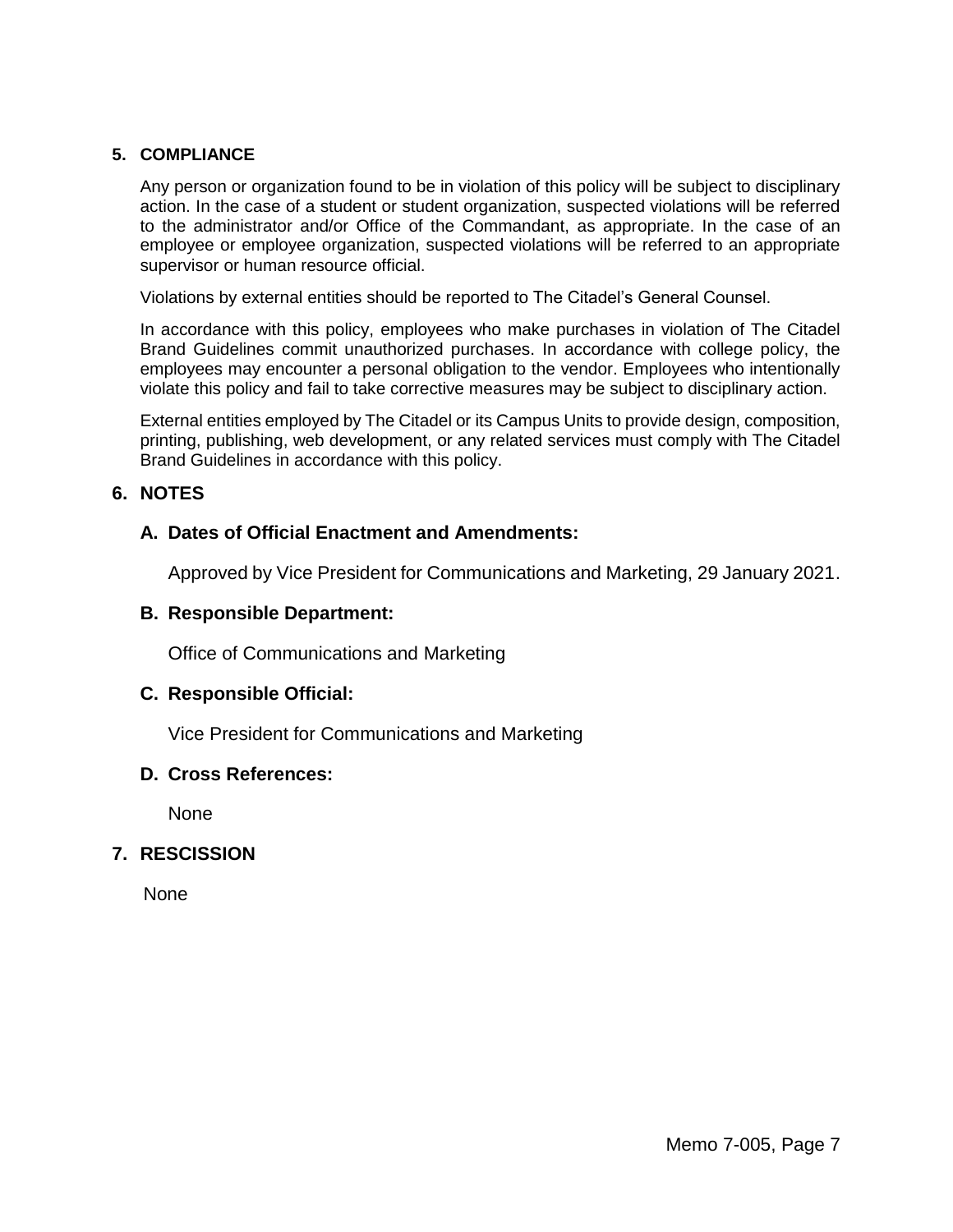### **5. COMPLIANCE**

Any person or organization found to be in violation of this policy will be subject to disciplinary action. In the case of a student or student organization, suspected violations will be referred to the administrator and/or Office of the Commandant, as appropriate. In the case of an employee or employee organization, suspected violations will be referred to an appropriate supervisor or human resource official.

Violations by external entities should be reported to The Citadel's General Counsel.

In accordance with this policy, employees who make purchases in violation of The Citadel Brand Guidelines commit unauthorized purchases. In accordance with college policy, the employees may encounter a personal obligation to the vendor. Employees who intentionally violate this policy and fail to take corrective measures may be subject to disciplinary action.

External entities employed by The Citadel or its Campus Units to provide design, composition, printing, publishing, web development, or any related services must comply with The Citadel Brand Guidelines in accordance with this policy.

### **6. NOTES**

## **A. Dates of Official Enactment and Amendments:**

Approved by Vice President for Communications and Marketing, 29 January 2021.

### **B. Responsible Department:**

Office of Communications and Marketing

#### **C. Responsible Official:**

Vice President for Communications and Marketing

#### **D. Cross References:**

None

## **7. RESCISSION**

None